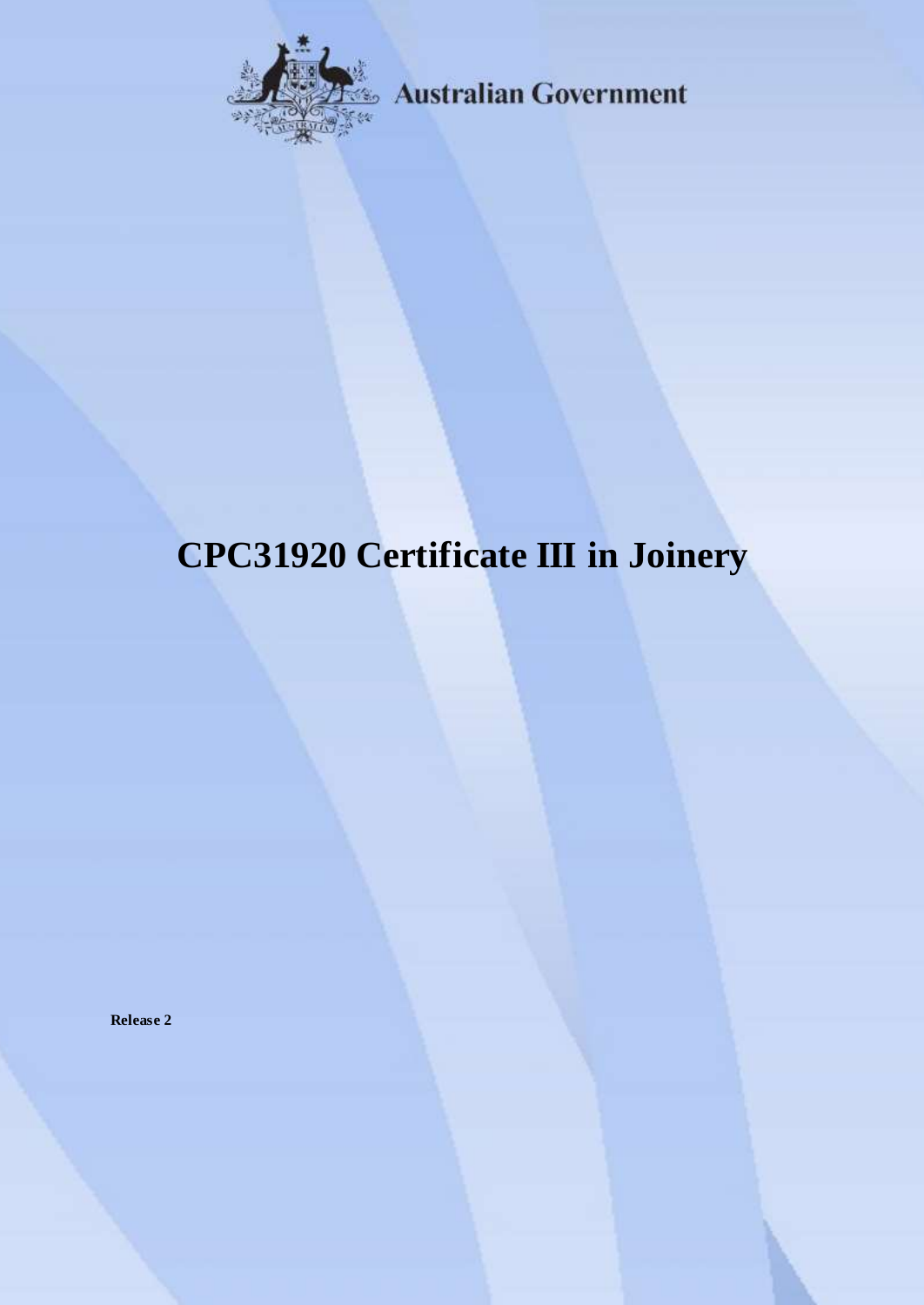

**Australian Government** 

# **CPC31920 Certificate III in Joinery**

**Release 2**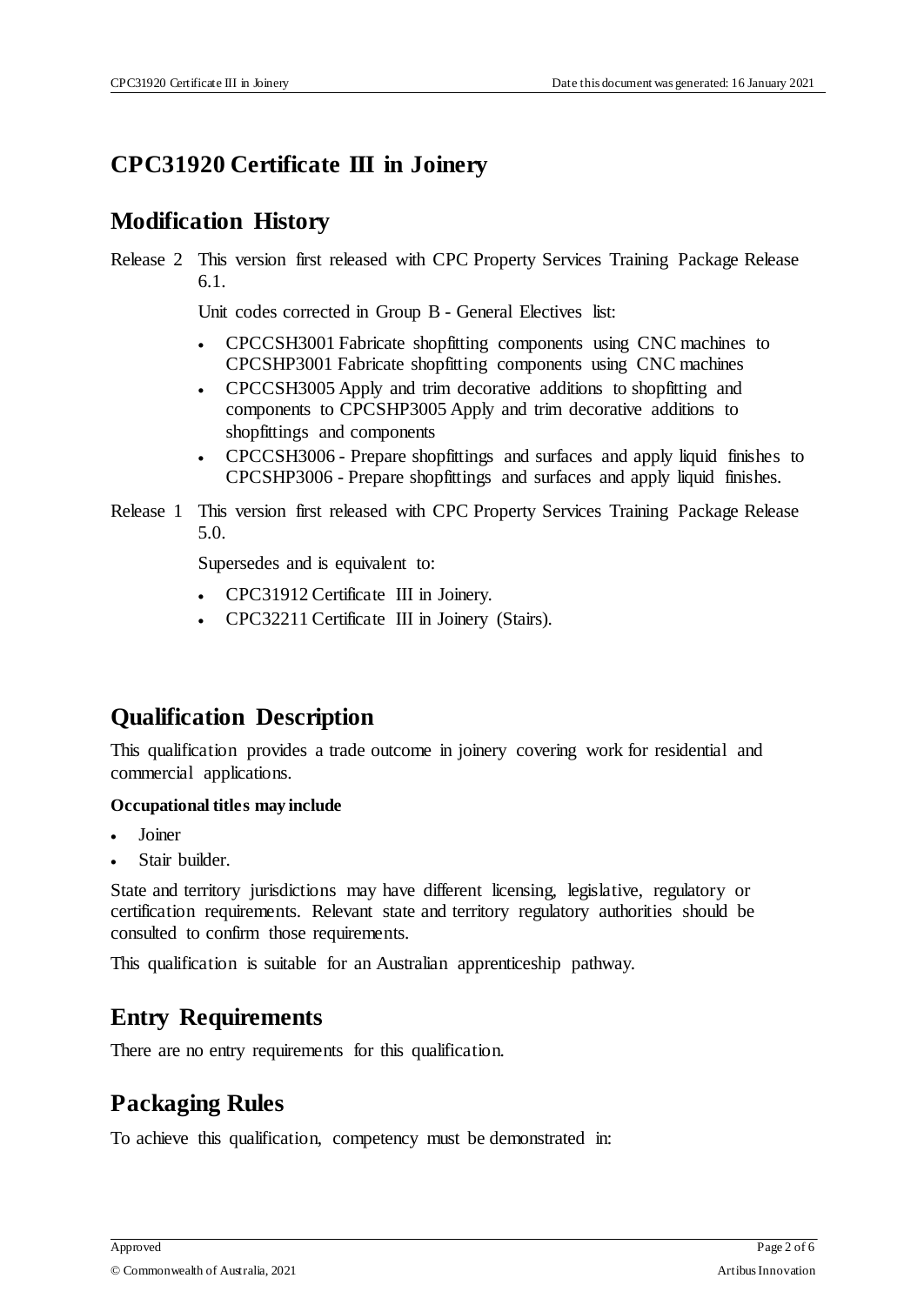## **CPC31920 Certificate III in Joinery**

## **Modification History**

Release 2 This version first released with CPC Property Services Training Package Release 6.1.

Unit codes corrected in Group B - General Electives list:

- CPCCSH3001 Fabricate shopfitting components using CNC machines to CPCSHP3001 Fabricate shopfitting components using CNC machines
- CPCCSH3005 Apply and trim decorative additions to shopfitting and components to CPCSHP3005 Apply and trim decorative additions to shopfittings and components
- CPCCSH3006 Prepare shopfittings and surfaces and apply liquid finishes to CPCSHP3006 - Prepare shopfittings and surfaces and apply liquid finishes.
- Release 1 This version first released with CPC Property Services Training Package Release 5.0.

Supersedes and is equivalent to:

- CPC31912 Certificate III in Joinery.
- CPC32211 Certificate III in Joinery (Stairs).

## **Qualification Description**

This qualification provides a trade outcome in joinery covering work for residential and commercial applications.

#### **Occupational titles may include**

- Joiner
- Stair builder.

State and territory jurisdictions may have different licensing, legislative, regulatory or certification requirements. Relevant state and territory regulatory authorities should be consulted to confirm those requirements.

This qualification is suitable for an Australian apprenticeship pathway.

#### **Entry Requirements**

There are no entry requirements for this qualification.

#### **Packaging Rules**

To achieve this qualification, competency must be demonstrated in: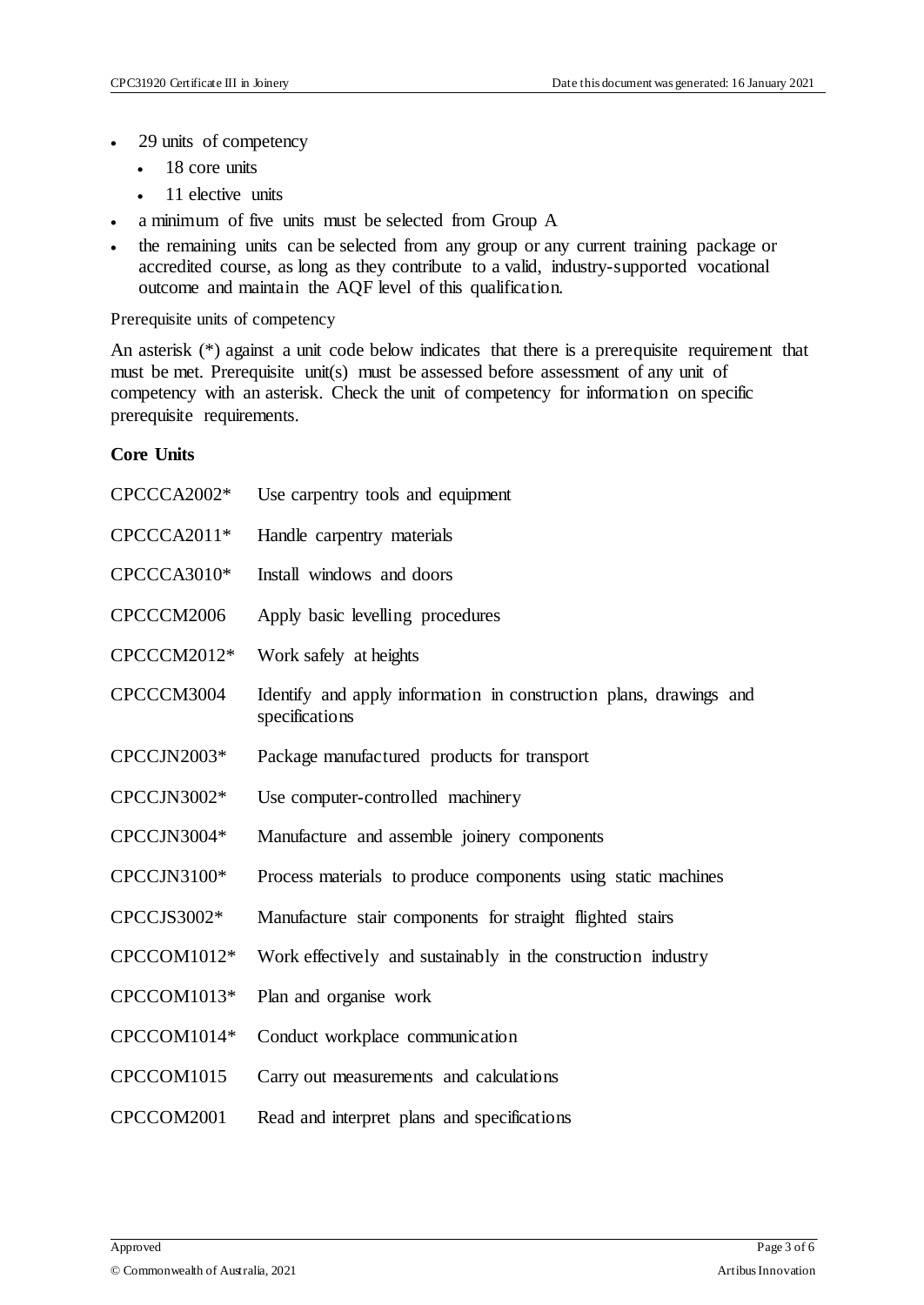- 29 units of competency
	- 18 core units
	- 11 elective units
- a minimum of five units must be selected from Group A
- the remaining units can be selected from any group or any current training package or accredited course, as long as they contribute to a valid, industry-supported vocational outcome and maintain the AQF level of this qualification.

Prerequisite units of competency

An asterisk (\*) against a unit code below indicates that there is a prerequisite requirement that must be met. Prerequisite unit(s) must be assessed before assessment of any unit of competency with an asterisk. Check the unit of competency for information on specific prerequisite requirements.

#### **Core Units**

| CPCCCA2002* | Use carpentry tools and equipment                                                    |
|-------------|--------------------------------------------------------------------------------------|
| CPCCCA2011* | Handle carpentry materials                                                           |
| CPCCCA3010* | Install windows and doors                                                            |
| CPCCCM2006  | Apply basic levelling procedures                                                     |
| CPCCCM2012* | Work safely at heights                                                               |
| CPCCCM3004  | Identify and apply information in construction plans, drawings and<br>specifications |
| CPCCJN2003* | Package manufactured products for transport                                          |
| CPCCJN3002* | Use computer-controlled machinery                                                    |
| CPCCJN3004* | Manufacture and assemble joinery components                                          |
| CPCCJN3100* | Process materials to produce components using static machines                        |
| CPCCJS3002* | Manufacture stair components for straight flighted stairs                            |
| CPCCOM1012* | Work effectively and sustainably in the construction industry                        |
| CPCCOM1013* | Plan and organise work                                                               |
| CPCCOM1014* | Conduct workplace communication                                                      |
| CPCCOM1015  | Carry out measurements and calculations                                              |
| CPCCOM2001  | Read and interpret plans and specifications                                          |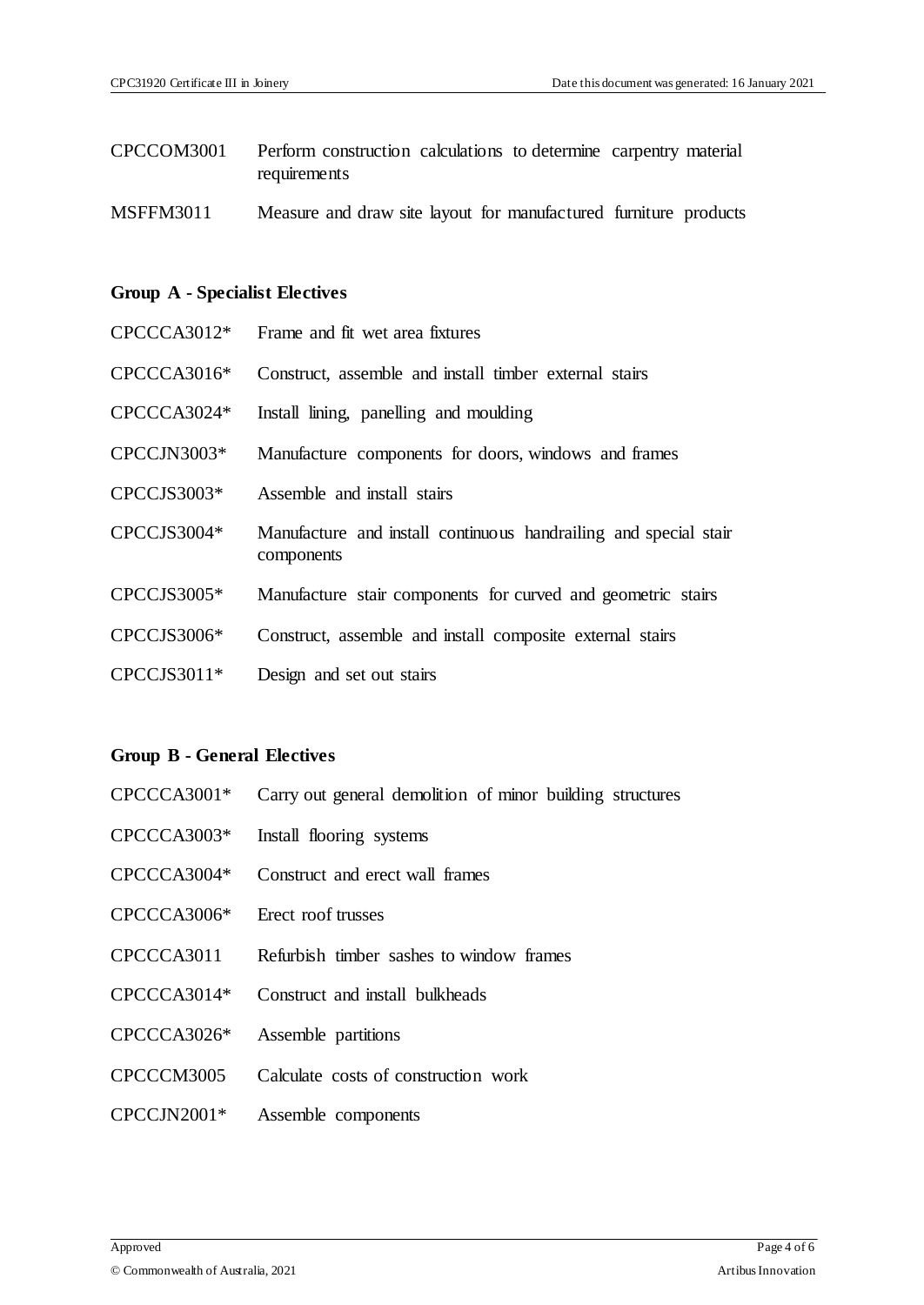- CPCCOM3001 Perform construction calculations to determine carpentry material requirements
- MSFFM3011 Measure and draw site layout for manufactured furniture products

#### **Group A - Specialist Electives**

| $CPCCCA3012*$ | Frame and fit wet area fixtures                                                |
|---------------|--------------------------------------------------------------------------------|
| $CPCCCA3016*$ | Construct, assemble and install timber external stairs                         |
| CPCCCA3024*   | Install lining, panelling and moulding                                         |
| CPCCJN3003*   | Manufacture components for doors, windows and frames                           |
| CPCCJS3003*   | Assemble and install stairs                                                    |
| CPCCJS3004*   | Manufacture and install continuous handrailing and special stair<br>components |
| $CPCCIS3005*$ | Manufacture stair components for curved and geometric stairs                   |
| CPCCJS3006*   | Construct, assemble and install composite external stairs                      |
| $CPCCIS3011*$ | Design and set out stairs                                                      |

#### **Group B - General Electives**

- CPCCCA3001\* Carry out general demolition of minor building structures
- CPCCCA3003\* Install flooring systems
- CPCCCA3004\* Construct and erect wall frames
- CPCCCA3006\* Erect roof trusses
- CPCCCA3011 Refurbish timber sashes to window frames
- CPCCCA3014\* Construct and install bulkheads
- CPCCCA3026\* Assemble partitions
- CPCCCM3005 Calculate costs of construction work
- CPCCJN2001\* Assemble components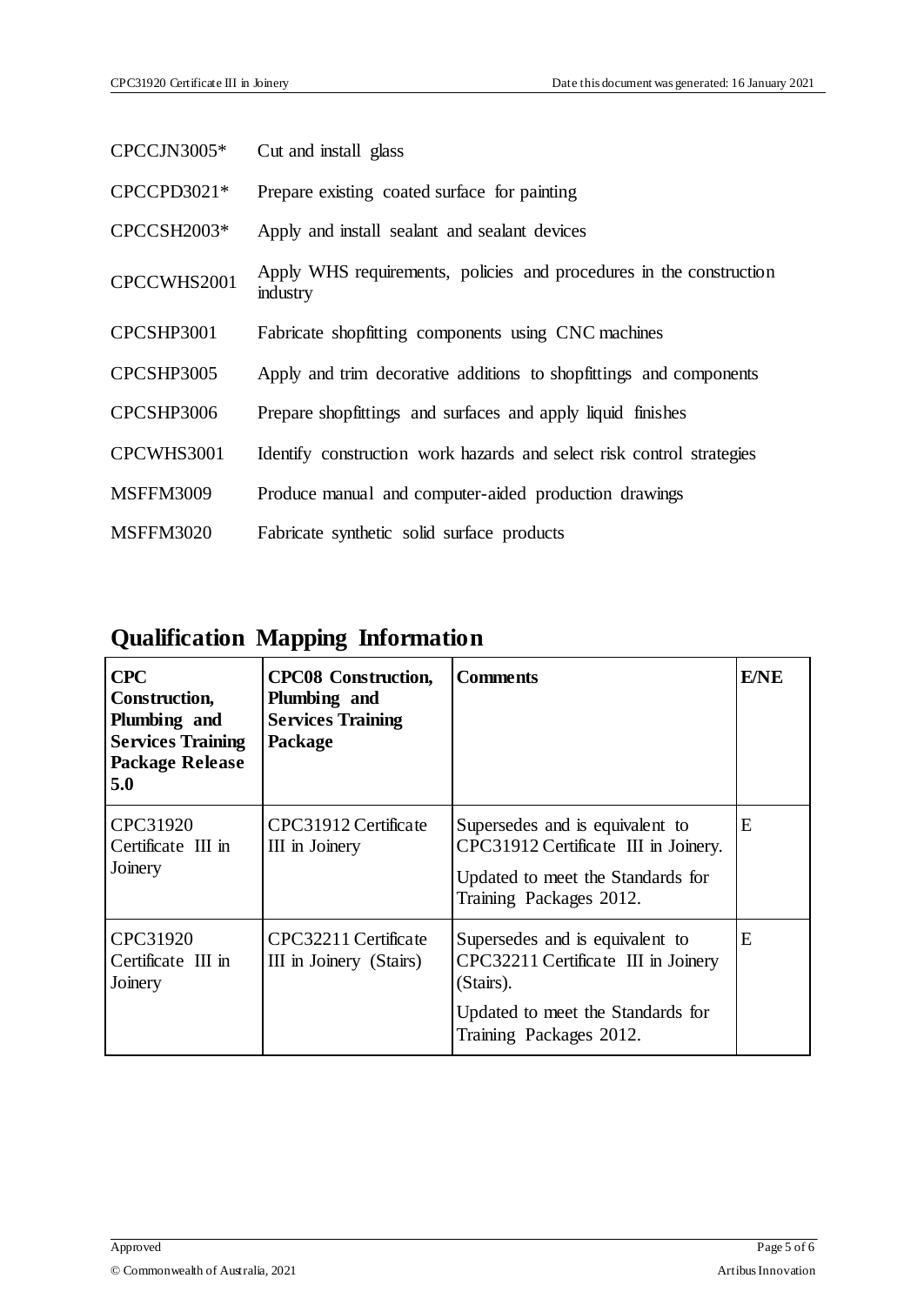| $CPCCJN3005*$    | Cut and install glass                                                           |
|------------------|---------------------------------------------------------------------------------|
| CPCCPD3021*      | Prepare existing coated surface for painting                                    |
| CPCCSH2003*      | Apply and install sealant and sealant devices                                   |
| CPCCWHS2001      | Apply WHS requirements, policies and procedures in the construction<br>industry |
| CPCSHP3001       | Fabricate shopfitting components using CNC machines                             |
| CPCSHP3005       | Apply and trim decorative additions to shopfittings and components              |
| CPCSHP3006       | Prepare shopfittings and surfaces and apply liquid finishes                     |
| CPCWHS3001       | Identify construction work hazards and select risk control strategies           |
| <b>MSFFM3009</b> | Produce manual and computer-aided production drawings                           |
| <b>MSFFM3020</b> | Fabricate synthetic solid surface products                                      |

## **Qualification Mapping Information**

| <b>CPC</b><br>Construction,<br>Plumbing and<br><b>Services Training</b><br><b>Package Release</b><br>5.0 | <b>CPC08</b> Construction,<br>Plumbing and<br><b>Services Training</b><br>Package | <b>Comments</b>                                                                                                                         | <b>E/NE</b> |
|----------------------------------------------------------------------------------------------------------|-----------------------------------------------------------------------------------|-----------------------------------------------------------------------------------------------------------------------------------------|-------------|
| CPC31920<br>Certificate III in<br>Joinery                                                                | CPC31912 Certificate<br>III in Joinery                                            | Supersedes and is equivalent to<br>CPC31912 Certificate III in Joinery.<br>Updated to meet the Standards for<br>Training Packages 2012. | E           |
| CPC31920<br>Certificate III in<br>Joinery                                                                | CPC32211 Certificate<br>III in Joinery (Stairs)                                   | Supersedes and is equivalent to<br>CPC32211 Certificate III in Joinery<br>(Stairs).                                                     | E           |
|                                                                                                          |                                                                                   | Updated to meet the Standards for<br>Training Packages 2012.                                                                            |             |